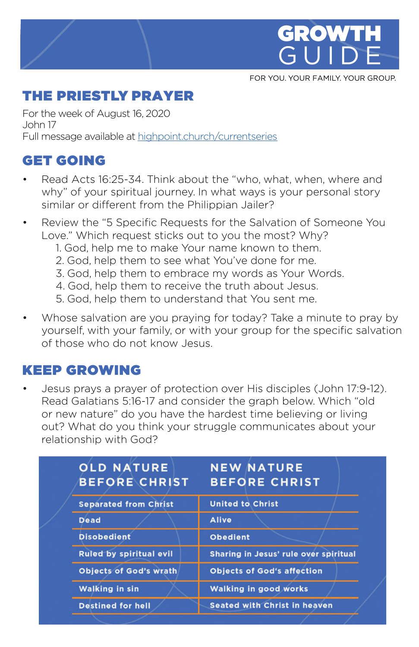

FOR YOU. YOUR FAMILY. YOUR GROUP.

# THE PRIESTLY PRAYER

For the week of August 16, 2020 John 17 Full message available at [highpoint.church/currentseries](http://highpoint.church/currentseries)

# GET GOING

- Read Acts 16:25-34. Think about the "who, what, when, where and why" of your spiritual journey. In what ways is your personal story similar or different from the Philippian Jailer?
- Review the "5 Specific Requests for the Salvation of Someone You Love." Which request sticks out to you the most? Why?
	- 1. God, help me to make Your name known to them.
	- 2. God, help them to see what You've done for me.
	- 3. God, help them to embrace my words as Your Words.
	- 4. God, help them to receive the truth about Jesus.
	- 5. God, help them to understand that You sent me.
- Whose salvation are you praying for today? Take a minute to pray by yourself, with your family, or with your group for the specific salvation of those who do not know Jesus.

## KEEP GROWING

• Jesus prays a prayer of protection over His disciples (John 17:9-12). Read Galatians 5:16-17 and consider the graph below. Which "old or new nature" do you have the hardest time believing or living out? What do you think your struggle communicates about your relationship with God?

|  | <b>OLD NATURE</b><br><b>BEFORE CHRIST</b> | <b>NEW NATURE</b><br><b>BEFORE CHRIST</b> |
|--|-------------------------------------------|-------------------------------------------|
|  | <b>Separated from Christ</b>              | <b>United to Christ</b>                   |
|  | <b>Dead</b>                               | <b>Alive</b>                              |
|  | <b>Disobedient</b>                        | <b>Obedient</b>                           |
|  | <b>Ruled by spiritual evil</b>            | Sharing in Jesus' rule over spiritual     |
|  | <b>Objects of God's wrath</b>             | <b>Objects of God's affection</b>         |
|  | <b>Walking in sin</b>                     | <b>Walking in good works</b>              |
|  | <b>Destined for hell</b>                  | <b>Seated with Christ in heaven</b>       |
|  |                                           |                                           |